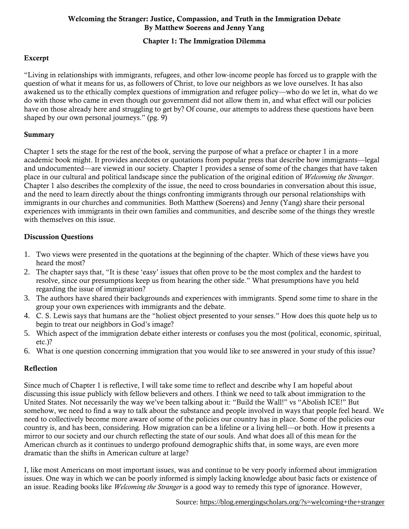# Chapter 1: The Immigration Dilemma

# Excerpt

"Living in relationships with immigrants, refugees, and other low-income people has forced us to grapple with the question of what it means for us, as followers of Christ, to love our neighbors as we love ourselves. It has also awakened us to the ethically complex questions of immigration and refugee policy—who do we let in, what do we do with those who came in even though our government did not allow them in, and what effect will our policies have on those already here and struggling to get by? Of course, our attempts to address these questions have been shaped by our own personal journeys." (pg. 9)

#### Summary

Chapter 1 sets the stage for the rest of the book, serving the purpose of what a preface or chapter 1 in a more academic book might. It provides anecdotes or quotations from popular press that describe how immigrants—legal and undocumented—are viewed in our society. Chapter 1 provides a sense of some of the changes that have taken place in our cultural and political landscape since the publication of the original edition of *Welcoming the Stranger*. Chapter 1 also describes the complexity of the issue, the need to cross boundaries in conversation about this issue, and the need to learn directly about the things confronting immigrants through our personal relationships with immigrants in our churches and communities. Both Matthew (Soerens) and Jenny (Yang) share their personal experiences with immigrants in their own families and communities, and describe some of the things they wrestle with themselves on this issue.

## Discussion Questions

- 1. Two views were presented in the quotations at the beginning of the chapter. Which of these views have you heard the most?
- 2. The chapter says that, "It is these 'easy' issues that often prove to be the most complex and the hardest to resolve, since our presumptions keep us from hearing the other side." What presumptions have you held regarding the issue of immigration?
- 3. The authors have shared their backgrounds and experiences with immigrants. Spend some time to share in the group your own experiences with immigrants and the debate.
- 4. C. S. Lewis says that humans are the "holiest object presented to your senses." How does this quote help us to begin to treat our neighbors in God's image?
- 5. Which aspect of the immigration debate either interests or confuses you the most (political, economic, spiritual, etc.)?
- 6. What is one question concerning immigration that you would like to see answered in your study of this issue?

## Reflection

Since much of Chapter 1 is reflective, I will take some time to reflect and describe why I am hopeful about discussing this issue publicly with fellow believers and others. I think we need to talk about immigration to the United States. Not necessarily the way we've been talking about it: "Build the Wall!" vs "Abolish ICE!" But somehow, we need to find a way to talk about the substance and people involved in ways that people feel heard. We need to collectively become more aware of some of the policies our country has in place. Some of the policies our country is, and has been, considering. How migration can be a lifeline or a living hell—or both. How it presents a mirror to our society and our church reflecting the state of our souls. And what does all of this mean for the American church as it continues to undergo profound demographic shifts that, in some ways, are even more dramatic than the shifts in American culture at large?

I, like most Americans on most important issues, was and continue to be very poorly informed about immigration issues. One way in which we can be poorly informed is simply lacking knowledge about basic facts or existence of an issue. Reading books like *Welcoming the Stranger* is a good way to remedy this type of ignorance. However,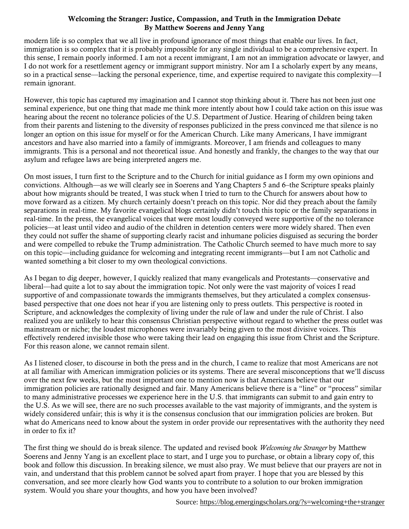modern life is so complex that we all live in profound ignorance of most things that enable our lives. In fact, immigration is so complex that it is probably impossible for any single individual to be a comprehensive expert. In this sense, I remain poorly informed. I am not a recent immigrant, I am not an immigration advocate or lawyer, and I do not work for a resettlement agency or immigrant support ministry. Nor am I a scholarly expert by any means, so in a practical sense—lacking the personal experience, time, and expertise required to navigate this complexity—I remain ignorant.

However, this topic has captured my imagination and I cannot stop thinking about it. There has not been just one seminal experience, but one thing that made me think more intently about how I could take action on this issue was hearing about the recent no tolerance policies of the U.S. Department of Justice. Hearing of children being taken from their parents and listening to the diversity of responses publicized in the press convinced me that silence is no longer an option on this issue for myself or for the American Church. Like many Americans, I have immigrant ancestors and have also married into a family of immigrants. Moreover, I am friends and colleagues to many immigrants. This is a personal and not theoretical issue. And honestly and frankly, the changes to the way that our asylum and refugee laws are being interpreted angers me.

On most issues, I turn first to the Scripture and to the Church for initial guidance as I form my own opinions and convictions. Although—as we will clearly see in Soerens and Yang Chapters 5 and 6–the Scripture speaks plainly about how migrants should be treated, I was stuck when I tried to turn to the Church for answers about how to move forward as a citizen. My church certainly doesn't preach on this topic. Nor did they preach about the family separations in real-time. My favorite evangelical blogs certainly didn't touch this topic or the family separations in real-time. In the press, the evangelical voices that were most loudly conveyed were supportive of the no tolerance policies—at least until video and audio of the children in detention centers were more widely shared. Then even they could not suffer the shame of supporting clearly racist and inhumane policies disguised as securing the border and were compelled to rebuke the Trump administration. The Catholic Church seemed to have much more to say on this topic—including guidance for welcoming and integrating recent immigrants—but I am not Catholic and wanted something a bit closer to my own theological convictions.

As I began to dig deeper, however, I quickly realized that many evangelicals and Protestants—conservative and liberal—had quite a lot to say about the immigration topic. Not only were the vast majority of voices I read supportive of and compassionate towards the immigrants themselves, but they articulated a complex consensusbased perspective that one does not hear if you are listening only to press outlets. This perspective is rooted in Scripture, and acknowledges the complexity of living under the rule of law and under the rule of Christ. I also realized you are unlikely to hear this consensus Christian perspective without regard to whether the press outlet was mainstream or niche; the loudest microphones were invariably being given to the most divisive voices. This effectively rendered invisible those who were taking their lead on engaging this issue from Christ and the Scripture. For this reason alone, we cannot remain silent.

As I listened closer, to discourse in both the press and in the church, I came to realize that most Americans are not at all familiar with American immigration policies or its systems. There are several misconceptions that we'll discuss over the next few weeks, but the most important one to mention now is that Americans believe that our immigration policies are rationally designed and fair. Many Americans believe there is a "line" or "process" similar to many administrative processes we experience here in the U.S. that immigrants can submit to and gain entry to the U.S. As we will see, there are no such processes available to the vast majority of immigrants, and the system is widely considered unfair; this is why it is the consensus conclusion that our immigration policies are broken. But what do Americans need to know about the system in order provide our representatives with the authority they need in order to fix it?

The first thing we should do is break silence. The updated and revised book *Welcoming the Stranger* by Matthew Soerens and Jenny Yang is an excellent place to start, and I urge you to purchase, or obtain a library copy of, this book and follow this discussion. In breaking silence, we must also pray. We must believe that our prayers are not in vain, and understand that this problem cannot be solved apart from prayer. I hope that you are blessed by this conversation, and see more clearly how God wants you to contribute to a solution to our broken immigration system. Would you share your thoughts, and how you have been involved?

Source:<https://blog.emergingscholars.org/?s=welcoming+the+stranger>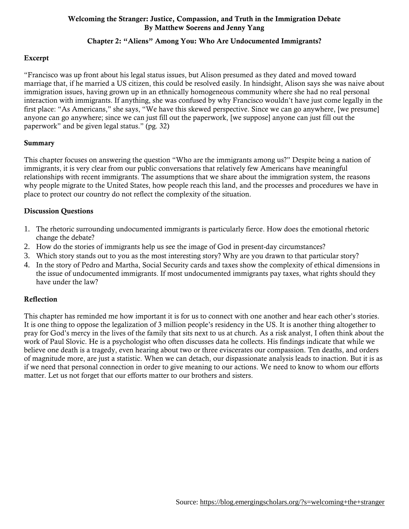## Chapter 2: "Aliens" Among You: Who Are Undocumented Immigrants?

#### Excerpt

"Francisco was up front about his legal status issues, but Alison presumed as they dated and moved toward marriage that, if he married a US citizen, this could be resolved easily. In hindsight, Alison says she was naive about immigration issues, having grown up in an ethnically homogeneous community where she had no real personal interaction with immigrants. If anything, she was confused by why Francisco wouldn't have just come legally in the first place: "As Americans," she says, "We have this skewed perspective. Since we can go anywhere, [we presume] anyone can go anywhere; since we can just fill out the paperwork, [we suppose] anyone can just fill out the paperwork" and be given legal status." (pg. 32)

#### Summary

This chapter focuses on answering the question "Who are the immigrants among us?" Despite being a nation of immigrants, it is very clear from our public conversations that relatively few Americans have meaningful relationships with recent immigrants. The assumptions that we share about the immigration system, the reasons why people migrate to the United States, how people reach this land, and the processes and procedures we have in place to protect our country do not reflect the complexity of the situation.

#### Discussion Questions

- 1. The rhetoric surrounding undocumented immigrants is particularly fierce. How does the emotional rhetoric change the debate?
- 2. How do the stories of immigrants help us see the image of God in present-day circumstances?
- 3. Which story stands out to you as the most interesting story? Why are you drawn to that particular story?
- 4. In the story of Pedro and Martha, Social Security cards and taxes show the complexity of ethical dimensions in the issue of undocumented immigrants. If most undocumented immigrants pay taxes, what rights should they have under the law?

#### Reflection

This chapter has reminded me how important it is for us to connect with one another and hear each other's stories. It is one thing to oppose the legalization of 3 million people's residency in the US. It is another thing altogether to pray for God's mercy in the lives of the family that sits next to us at church. As a risk analyst, I often think about the work of Paul Slovic. He is a psychologist who often discusses data he collects. His findings indicate that while we believe one death is a tragedy, even hearing about two or three eviscerates our compassion. Ten deaths, and orders of magnitude more, are just a statistic. When we can detach, our dispassionate analysis leads to inaction. But it is as if we need that personal connection in order to give meaning to our actions. We need to know to whom our efforts matter. Let us not forget that our efforts matter to our brothers and sisters.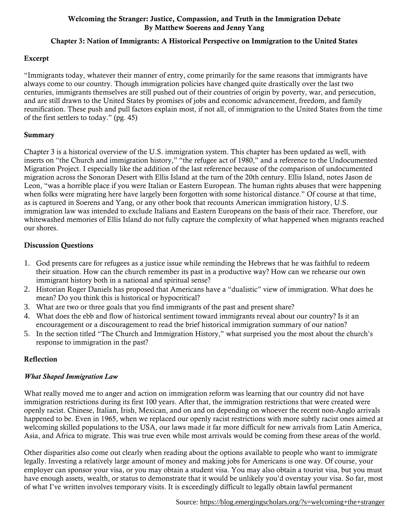# Chapter 3: Nation of Immigrants: A Historical Perspective on Immigration to the United States

# Excerpt

"Immigrants today, whatever their manner of entry, come primarily for the same reasons that immigrants have always come to our country. Though immigration policies have changed quite drastically over the last two centuries, immigrants themselves are still pushed out of their countries of origin by poverty, war, and persecution, and are still drawn to the United States by promises of jobs and economic advancement, freedom, and family reunification. These push and pull factors explain most, if not all, of immigration to the United States from the time of the first settlers to today." (pg. 45)

## Summary

Chapter 3 is a historical overview of the U.S. immigration system. This chapter has been updated as well, with inserts on "the Church and immigration history," "the refugee act of 1980," and a reference to the Undocumented Migration Project. I especially like the addition of the last reference because of the comparison of undocumented migration across the Sonoran Desert with Ellis Island at the turn of the 20th century. Ellis Island, notes Jason de Leon, "was a horrible place if you were Italian or Eastern European. The human rights abuses that were happening when folks were migrating here have largely been forgotten with some historical distance." Of course at that time, as is captured in Soerens and Yang, or any other book that recounts American immigration history, U.S. immigration law was intended to exclude Italians and Eastern Europeans on the basis of their race. Therefore, our whitewashed memories of Ellis Island do not fully capture the complexity of what happened when migrants reached our shores.

# Discussion Questions

- 1. God presents care for refugees as a justice issue while reminding the Hebrews that he was faithful to redeem their situation. How can the church remember its past in a productive way? How can we rehearse our own immigrant history both in a national and spiritual sense?
- 2. Historian Roger Daniels has proposed that Americans have a "dualistic" view of immigration. What does he mean? Do you think this is historical or hypocritical?
- 3. What are two or three goals that you find immigrants of the past and present share?
- 4. What does the ebb and flow of historical sentiment toward immigrants reveal about our country? Is it an encouragement or a discouragement to read the brief historical immigration summary of our nation?
- 5. In the section titled "The Church and Immigration History," what surprised you the most about the church's response to immigration in the past?

# Reflection

# *What Shaped Immigration Law*

What really moved me to anger and action on immigration reform was learning that our country did not have immigration restrictions during its first 100 years. After that, the immigration restrictions that were created were openly racist. Chinese, Italian, Irish, Mexican, and on and on depending on whoever the recent non-Anglo arrivals happened to be. Even in 1965, when we replaced our openly racist restrictions with more subtly racist ones aimed at welcoming skilled populations to the USA, our laws made it far more difficult for new arrivals from Latin America, Asia, and Africa to migrate. This was true even while most arrivals would be coming from these areas of the world.

Other disparities also come out clearly when reading about the options available to people who want to immigrate legally. Investing a relatively large amount of money and making jobs for Americans is one way. Of course, your employer can sponsor your visa, or you may obtain a student visa. You may also obtain a tourist visa, but you must have enough assets, wealth, or status to demonstrate that it would be unlikely you'd overstay your visa. So far, most of what I've written involves temporary visits. It is exceedingly difficult to legally obtain lawful permanent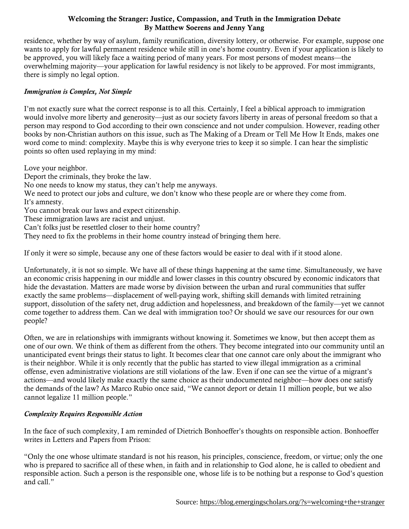residence, whether by way of asylum, family reunification, diversity lottery, or otherwise. For example, suppose one wants to apply for lawful permanent residence while still in one's home country. Even if your application is likely to be approved, you will likely face a waiting period of many years. For most persons of modest means—the overwhelming majority—your application for lawful residency is not likely to be approved. For most immigrants, there is simply no legal option.

## *Immigration is Complex, Not Simple*

I'm not exactly sure what the correct response is to all this. Certainly, I feel a biblical approach to immigration would involve more liberty and generosity—just as our society favors liberty in areas of personal freedom so that a person may respond to God according to their own conscience and not under compulsion. However, reading other books by non-Christian authors on this issue, such as The Making of a Dream or Tell Me How It Ends, makes one word come to mind: complexity. Maybe this is why everyone tries to keep it so simple. I can hear the simplistic points so often used replaying in my mind:

Love your neighbor.

Deport the criminals, they broke the law. No one needs to know my status, they can't help me anyways. We need to protect our jobs and culture, we don't know who these people are or where they come from. It's amnesty. You cannot break our laws and expect citizenship. These immigration laws are racist and unjust. Can't folks just be resettled closer to their home country? They need to fix the problems in their home country instead of bringing them here.

If only it were so simple, because any one of these factors would be easier to deal with if it stood alone.

Unfortunately, it is not so simple. We have all of these things happening at the same time. Simultaneously, we have an economic crisis happening in our middle and lower classes in this country obscured by economic indicators that hide the devastation. Matters are made worse by division between the urban and rural communities that suffer exactly the same problems—displacement of well-paying work, shifting skill demands with limited retraining support, dissolution of the safety net, drug addiction and hopelessness, and breakdown of the family—yet we cannot come together to address them. Can we deal with immigration too? Or should we save our resources for our own people?

Often, we are in relationships with immigrants without knowing it. Sometimes we know, but then accept them as one of our own. We think of them as different from the others. They become integrated into our community until an unanticipated event brings their status to light. It becomes clear that one cannot care only about the immigrant who is their neighbor. While it is only recently that the public has started to view illegal immigration as a criminal offense, even administrative violations are still violations of the law. Even if one can see the virtue of a migrant's actions—and would likely make exactly the same choice as their undocumented neighbor—how does one satisfy the demands of the law? As Marco Rubio once said, "We cannot deport or detain 11 million people, but we also cannot legalize 11 million people."

## *Complexity Requires Responsible Action*

In the face of such complexity, I am reminded of Dietrich Bonhoeffer's thoughts on responsible action. Bonhoeffer writes in Letters and Papers from Prison:

"Only the one whose ultimate standard is not his reason, his principles, conscience, freedom, or virtue; only the one who is prepared to sacrifice all of these when, in faith and in relationship to God alone, he is called to obedient and responsible action. Such a person is the responsible one, whose life is to be nothing but a response to God's question and call."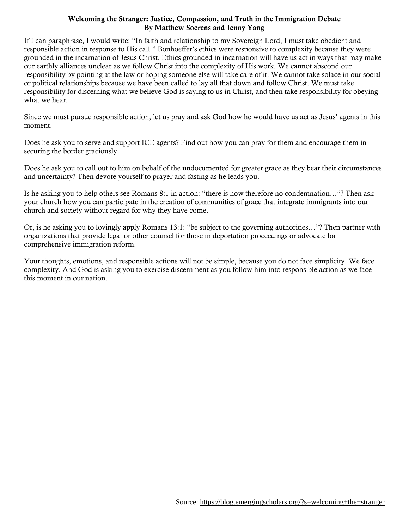If I can paraphrase, I would write: "In faith and relationship to my Sovereign Lord, I must take obedient and responsible action in response to His call." Bonhoeffer's ethics were responsive to complexity because they were grounded in the incarnation of Jesus Christ. Ethics grounded in incarnation will have us act in ways that may make our earthly alliances unclear as we follow Christ into the complexity of His work. We cannot abscond our responsibility by pointing at the law or hoping someone else will take care of it. We cannot take solace in our social or political relationships because we have been called to lay all that down and follow Christ. We must take responsibility for discerning what we believe God is saying to us in Christ, and then take responsibility for obeying what we hear.

Since we must pursue responsible action, let us pray and ask God how he would have us act as Jesus' agents in this moment.

Does he ask you to serve and support ICE agents? Find out how you can pray for them and encourage them in securing the border graciously.

Does he ask you to call out to him on behalf of the undocumented for greater grace as they bear their circumstances and uncertainty? Then devote yourself to prayer and fasting as he leads you.

Is he asking you to help others see Romans 8:1 in action: "there is now therefore no condemnation…"? Then ask your church how you can participate in the creation of communities of grace that integrate immigrants into our church and society without regard for why they have come.

Or, is he asking you to lovingly apply Romans 13:1: "be subject to the governing authorities…"? Then partner with organizations that provide legal or other counsel for those in deportation proceedings or advocate for comprehensive immigration reform.

Your thoughts, emotions, and responsible actions will not be simple, because you do not face simplicity. We face complexity. And God is asking you to exercise discernment as you follow him into responsible action as we face this moment in our nation.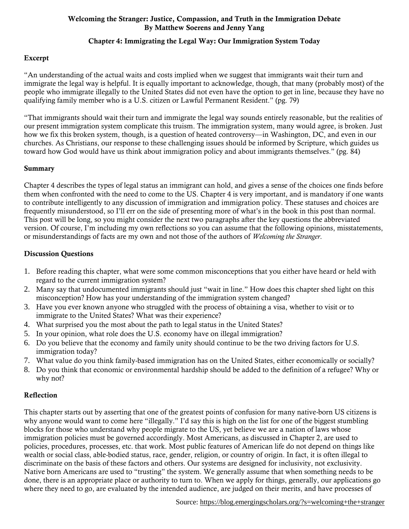## Chapter 4: Immigrating the Legal Way: Our Immigration System Today

# Excerpt

"An understanding of the actual waits and costs implied when we suggest that immigrants wait their turn and immigrate the legal way is helpful. It is equally important to acknowledge, though, that many (probably most) of the people who immigrate illegally to the United States did not even have the option to get in line, because they have no qualifying family member who is a U.S. citizen or Lawful Permanent Resident." (pg. 79)

"That immigrants should wait their turn and immigrate the legal way sounds entirely reasonable, but the realities of our present immigration system complicate this truism. The immigration system, many would agree, is broken. Just how we fix this broken system, though, is a question of heated controversy—in Washington, DC, and even in our churches. As Christians, our response to these challenging issues should be informed by Scripture, which guides us toward how God would have us think about immigration policy and about immigrants themselves." (pg. 84)

#### Summary

Chapter 4 describes the types of legal status an immigrant can hold, and gives a sense of the choices one finds before them when confronted with the need to come to the US. Chapter 4 is very important, and is mandatory if one wants to contribute intelligently to any discussion of immigration and immigration policy. These statuses and choices are frequently misunderstood, so I'll err on the side of presenting more of what's in the book in this post than normal. This post will be long, so you might consider the next two paragraphs after the key questions the abbreviated version. Of course, I'm including my own reflections so you can assume that the following opinions, misstatements, or misunderstandings of facts are my own and not those of the authors of *Welcoming the Stranger*.

## Discussion Questions

- 1. Before reading this chapter, what were some common misconceptions that you either have heard or held with regard to the current immigration system?
- 2. Many say that undocumented immigrants should just "wait in line." How does this chapter shed light on this misconception? How has your understanding of the immigration system changed?
- 3. Have you ever known anyone who struggled with the process of obtaining a visa, whether to visit or to immigrate to the United States? What was their experience?
- 4. What surprised you the most about the path to legal status in the United States?
- 5. In your opinion, what role does the U.S. economy have on illegal immigration?
- 6. Do you believe that the economy and family unity should continue to be the two driving factors for U.S. immigration today?
- 7. What value do you think family-based immigration has on the United States, either economically or socially?
- 8. Do you think that economic or environmental hardship should be added to the definition of a refugee? Why or why not?

## Reflection

This chapter starts out by asserting that one of the greatest points of confusion for many native-born US citizens is why anyone would want to come here "illegally." I'd say this is high on the list for one of the biggest stumbling blocks for those who understand why people migrate to the US, yet believe we are a nation of laws whose immigration policies must be governed accordingly. Most Americans, as discussed in Chapter 2, are used to policies, procedures, processes, etc. that work. Most public features of American life do not depend on things like wealth or social class, able-bodied status, race, gender, religion, or country of origin. In fact, it is often illegal to discriminate on the basis of these factors and others. Our systems are designed for inclusivity, not exclusivity. Native born Americans are used to "trusting" the system. We generally assume that when something needs to be done, there is an appropriate place or authority to turn to. When we apply for things, generally, our applications go where they need to go, are evaluated by the intended audience, are judged on their merits, and have processes of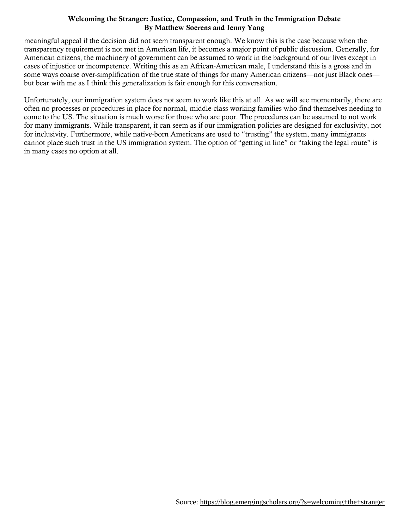meaningful appeal if the decision did not seem transparent enough. We know this is the case because when the transparency requirement is not met in American life, it becomes a major point of public discussion. Generally, for American citizens, the machinery of government can be assumed to work in the background of our lives except in cases of injustice or incompetence. Writing this as an African-American male, I understand this is a gross and in some ways coarse over-simplification of the true state of things for many American citizens—not just Black ones but bear with me as I think this generalization is fair enough for this conversation.

Unfortunately, our immigration system does not seem to work like this at all. As we will see momentarily, there are often no processes or procedures in place for normal, middle-class working families who find themselves needing to come to the US. The situation is much worse for those who are poor. The procedures can be assumed to not work for many immigrants. While transparent, it can seem as if our immigration policies are designed for exclusivity, not for inclusivity. Furthermore, while native-born Americans are used to "trusting" the system, many immigrants cannot place such trust in the US immigration system. The option of "getting in line" or "taking the legal route" is in many cases no option at all.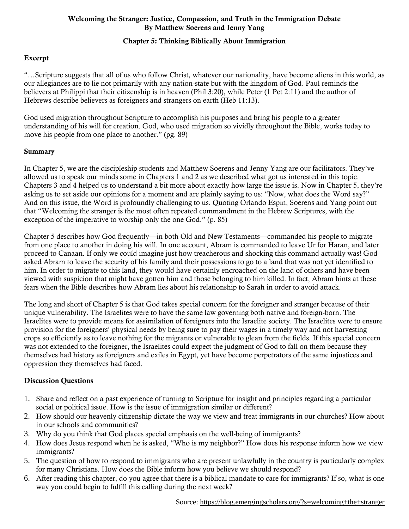# Chapter 5: Thinking Biblically About Immigration

# Excerpt

"…Scripture suggests that all of us who follow Christ, whatever our nationality, have become aliens in this world, as our allegiances are to lie not primarily with any nation-state but with the kingdom of God. Paul reminds the believers at Philippi that their citizenship is in heaven (Phil 3:20), while Peter (1 Pet 2:11) and the author of Hebrews describe believers as foreigners and strangers on earth (Heb 11:13).

God used migration throughout Scripture to accomplish his purposes and bring his people to a greater understanding of his will for creation. God, who used migration so vividly throughout the Bible, works today to move his people from one place to another." (pg. 89)

#### Summary

In Chapter 5, we are the discipleship students and Matthew Soerens and Jenny Yang are our facilitators. They've allowed us to speak our minds some in Chapters 1 and 2 as we described what got us interested in this topic. Chapters 3 and 4 helped us to understand a bit more about exactly how large the issue is. Now in Chapter 5, they're asking us to set aside our opinions for a moment and are plainly saying to us: "Now, what does the Word say?" And on this issue, the Word is profoundly challenging to us. Quoting Orlando Espin, Soerens and Yang point out that "Welcoming the stranger is the most often repeated commandment in the Hebrew Scriptures, with the exception of the imperative to worship only the one God." (p. 85)

Chapter 5 describes how God frequently—in both Old and New Testaments—commanded his people to migrate from one place to another in doing his will. In one account, Abram is commanded to leave Ur for Haran, and later proceed to Canaan. If only we could imagine just how treacherous and shocking this command actually was! God asked Abram to leave the security of his family and their possessions to go to a land that was not yet identified to him. In order to migrate to this land, they would have certainly encroached on the land of others and have been viewed with suspicion that might have gotten him and those belonging to him killed. In fact, Abram hints at these fears when the Bible describes how Abram lies about his relationship to Sarah in order to avoid attack.

The long and short of Chapter 5 is that God takes special concern for the foreigner and stranger because of their unique vulnerability. The Israelites were to have the same law governing both native and foreign-born. The Israelites were to provide means for assimilation of foreigners into the Israelite society. The Israelites were to ensure provision for the foreigners' physical needs by being sure to pay their wages in a timely way and not harvesting crops so efficiently as to leave nothing for the migrants or vulnerable to glean from the fields. If this special concern was not extended to the foreigner, the Israelites could expect the judgment of God to fall on them because they themselves had history as foreigners and exiles in Egypt, yet have become perpetrators of the same injustices and oppression they themselves had faced.

## Discussion Questions

- 1. Share and reflect on a past experience of turning to Scripture for insight and principles regarding a particular social or political issue. How is the issue of immigration similar or different?
- 2. How should our heavenly citizenship dictate the way we view and treat immigrants in our churches? How about in our schools and communities?
- 3. Why do you think that God places special emphasis on the well-being of immigrants?
- 4. How does Jesus respond when he is asked, "Who is my neighbor?" How does his response inform how we view immigrants?
- 5. The question of how to respond to immigrants who are present unlawfully in the country is particularly complex for many Christians. How does the Bible inform how you believe we should respond?
- 6. After reading this chapter, do you agree that there is a biblical mandate to care for immigrants? If so, what is one way you could begin to fulfill this calling during the next week?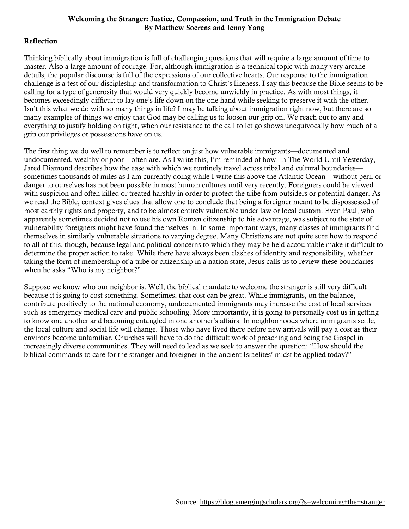## Reflection

Thinking biblically about immigration is full of challenging questions that will require a large amount of time to master. Also a large amount of courage. For, although immigration is a technical topic with many very arcane details, the popular discourse is full of the expressions of our collective hearts. Our response to the immigration challenge is a test of our discipleship and transformation to Christ's likeness. I say this because the Bible seems to be calling for a type of generosity that would very quickly become unwieldy in practice. As with most things, it becomes exceedingly difficult to lay one's life down on the one hand while seeking to preserve it with the other. Isn't this what we do with so many things in life? I may be talking about immigration right now, but there are so many examples of things we enjoy that God may be calling us to loosen our grip on. We reach out to any and everything to justify holding on tight, when our resistance to the call to let go shows unequivocally how much of a grip our privileges or possessions have on us.

The first thing we do well to remember is to reflect on just how vulnerable immigrants—documented and undocumented, wealthy or poor—often are. As I write this, I'm reminded of how, in The World Until Yesterday, Jared Diamond describes how the ease with which we routinely travel across tribal and cultural boundaries sometimes thousands of miles as I am currently doing while I write this above the Atlantic Ocean—without peril or danger to ourselves has not been possible in most human cultures until very recently. Foreigners could be viewed with suspicion and often killed or treated harshly in order to protect the tribe from outsiders or potential danger. As we read the Bible, context gives clues that allow one to conclude that being a foreigner meant to be dispossessed of most earthly rights and property, and to be almost entirely vulnerable under law or local custom. Even Paul, who apparently sometimes decided not to use his own Roman citizenship to his advantage, was subject to the state of vulnerability foreigners might have found themselves in. In some important ways, many classes of immigrants find themselves in similarly vulnerable situations to varying degree. Many Christians are not quite sure how to respond to all of this, though, because legal and political concerns to which they may be held accountable make it difficult to determine the proper action to take. While there have always been clashes of identity and responsibility, whether taking the form of membership of a tribe or citizenship in a nation state, Jesus calls us to review these boundaries when he asks "Who is my neighbor?"

Suppose we know who our neighbor is. Well, the biblical mandate to welcome the stranger is still very difficult because it is going to cost something. Sometimes, that cost can be great. While immigrants, on the balance, contribute positively to the national economy, undocumented immigrants may increase the cost of local services such as emergency medical care and public schooling. More importantly, it is going to personally cost us in getting to know one another and becoming entangled in one another's affairs. In neighborhoods where immigrants settle, the local culture and social life will change. Those who have lived there before new arrivals will pay a cost as their environs become unfamiliar. Churches will have to do the difficult work of preaching and being the Gospel in increasingly diverse communities. They will need to lead as we seek to answer the question: "How should the biblical commands to care for the stranger and foreigner in the ancient Israelites' midst be applied today?"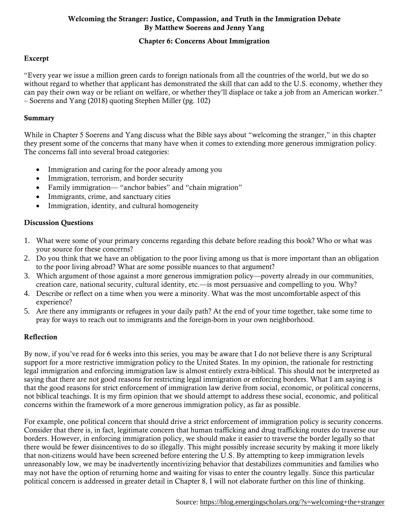# Chapter 6: Concerns About Immigration

# Excerpt

"Every year we issue a million green cards to foreign nationals from all the countries of the world, but we do so without regard to whether that applicant has demonstrated the skill that can add to the U.S. economy, whether they can pay their own way or be reliant on welfare, or whether they'll displace or take a job from an American worker." – Soerens and Yang (2018) quoting Stephen Miller (pg. 102)

#### Summary

While in Chapter 5 Soerens and Yang discuss what the Bible says about "welcoming the stranger," in this chapter they present some of the concerns that many have when it comes to extending more generous immigration policy. The concerns fall into several broad categories:

- Immigration and caring for the poor already among you
- Immigration, terrorism, and border security
- Family immigration— "anchor babies" and "chain migration"
- Immigrants, crime, and sanctuary cities
- Immigration, identity, and cultural homogeneity

## Discussion Questions

- 1. What were some of your primary concerns regarding this debate before reading this book? Who or what was your source for these concerns?
- 2. Do you think that we have an obligation to the poor living among us that is more important than an obligation to the poor living abroad? What are some possible nuances to that argument?
- 3. Which argument of those against a more generous immigration policy—poverty already in our communities, creation care, national security, cultural identity, etc.—is most persuasive and compelling to you. Why?
- 4. Describe or reflect on a time when you were a minority. What was the most uncomfortable aspect of this experience?
- 5. Are there any immigrants or refugees in your daily path? At the end of your time together, take some time to pray for ways to reach out to immigrants and the foreign-born in your own neighborhood.

## Reflection

By now, if you've read for 6 weeks into this series, you may be aware that I do not believe there is any Scriptural support for a more restrictive immigration policy to the United States. In my opinion, the rationale for restricting legal immigration and enforcing immigration law is almost entirely extra-biblical. This should not be interpreted as saying that there are not good reasons for restricting legal immigration or enforcing borders. What I am saying is that the good reasons for strict enforcement of immigration law derive from social, economic, or political concerns, not biblical teachings. It is my firm opinion that we should attempt to address these social, economic, and political concerns within the framework of a more generous immigration policy, as far as possible.

For example, one political concern that should drive a strict enforcement of immigration policy is security concerns. Consider that there is, in fact, legitimate concern that human trafficking and drug trafficking routes do traverse our borders. However, in enforcing immigration policy, we should make it easier to traverse the border legally so that there would be fewer disincentives to do so illegally. This might possibly increase security by making it more likely that non-citizens would have been screened before entering the U.S. By attempting to keep immigration levels unreasonably low, we may be inadvertently incentivizing behavior that destabilizes communities and families who may not have the option of returning home and waiting for visas to enter the country legally. Since this particular political concern is addressed in greater detail in Chapter 8, I will not elaborate further on this line of thinking.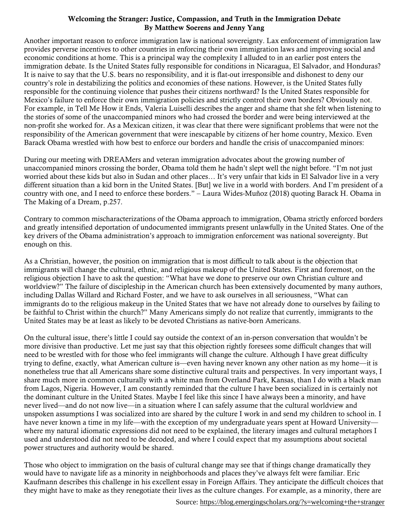Another important reason to enforce immigration law is national sovereignty. Lax enforcement of immigration law provides perverse incentives to other countries in enforcing their own immigration laws and improving social and economic conditions at home. This is a principal way the complexity I alluded to in an earlier post enters the immigration debate. Is the United States fully responsible for conditions in Nicaragua, El Salvador, and Honduras? It is naive to say that the U.S. bears no responsibility, and it is flat-out irresponsible and dishonest to deny our country's role in destabilizing the politics and economies of these nations. However, is the United States fully responsible for the continuing violence that pushes their citizens northward? Is the United States responsible for Mexico's failure to enforce their own immigration policies and strictly control their own borders? Obviously not. For example, in Tell Me How it Ends, Valeria Luiselli describes the anger and shame that she felt when listening to the stories of some of the unaccompanied minors who had crossed the border and were being interviewed at the non-profit she worked for. As a Mexican citizen, it was clear that there were significant problems that were not the responsibility of the American government that were inescapable by citizens of her home country, Mexico. Even Barack Obama wrestled with how best to enforce our borders and handle the crisis of unaccompanied minors:

During our meeting with DREAMers and veteran immigration advocates about the growing number of unaccompanied minors crossing the border, Obama told them he hadn't slept well the night before. "I'm not just worried about these kids but also in Sudan and other places… It's very unfair that kids in El Salvador live in a very different situation than a kid born in the United States. [But] we live in a world with borders. And I'm president of a country with one, and I need to enforce these borders." – Laura Wides-Muñoz (2018) quoting Barack H. Obama in The Making of a Dream, p.257.

Contrary to common mischaracterizations of the Obama approach to immigration, Obama strictly enforced borders and greatly intensified deportation of undocumented immigrants present unlawfully in the United States. One of the key drivers of the Obama administration's approach to immigration enforcement was national sovereignty. But enough on this.

As a Christian, however, the position on immigration that is most difficult to talk about is the objection that immigrants will change the cultural, ethnic, and religious makeup of the United States. First and foremost, on the religious objection I have to ask the question: "What have we done to preserve our own Christian culture and worldview?" The failure of discipleship in the American church has been extensively documented by many authors, including Dallas Willard and Richard Foster, and we have to ask ourselves in all seriousness, "What can immigrants do to the religious makeup in the United States that we have not already done to ourselves by failing to be faithful to Christ within the church?" Many Americans simply do not realize that currently, immigrants to the United States may be at least as likely to be devoted Christians as native-born Americans.

On the cultural issue, there's little I could say outside the context of an in-person conversation that wouldn't be more divisive than productive. Let me just say that this objection rightly foresees some difficult changes that will need to be wrestled with for those who feel immigrants will change the culture. Although I have great difficulty trying to define, exactly, what American culture is—even having never known any other nation as my home—it is nonetheless true that all Americans share some distinctive cultural traits and perspectives. In very important ways, I share much more in common culturally with a white man from Overland Park, Kansas, than I do with a black man from Lagos, Nigeria. However, I am constantly reminded that the culture I have been socialized in is certainly not the dominant culture in the United States. Maybe I feel like this since I have always been a minority, and have never lived—and do not now live—in a situation where I can safely assume that the cultural worldview and unspoken assumptions I was socialized into are shared by the culture I work in and send my children to school in. I have never known a time in my life—with the exception of my undergraduate years spent at Howard University where my natural idiomatic expressions did not need to be explained, the literary images and cultural metaphors I used and understood did not need to be decoded, and where I could expect that my assumptions about societal power structures and authority would be shared.

Those who object to immigration on the basis of cultural change may see that if things change dramatically they would have to navigate life as a minority in neighborhoods and places they've always felt were familiar. Eric Kaufmann describes this challenge in his excellent essay in Foreign Affairs. They anticipate the difficult choices that they might have to make as they renegotiate their lives as the culture changes. For example, as a minority, there are

Source:<https://blog.emergingscholars.org/?s=welcoming+the+stranger>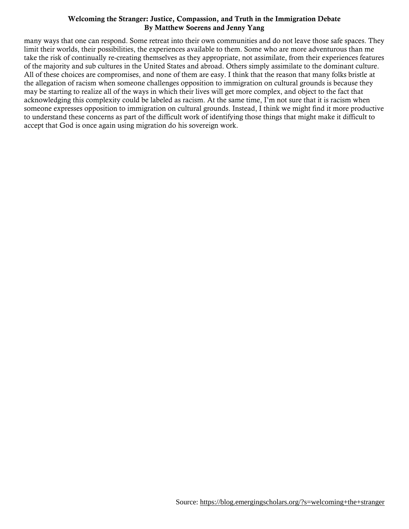many ways that one can respond. Some retreat into their own communities and do not leave those safe spaces. They limit their worlds, their possibilities, the experiences available to them. Some who are more adventurous than me take the risk of continually re-creating themselves as they appropriate, not assimilate, from their experiences features of the majority and sub cultures in the United States and abroad. Others simply assimilate to the dominant culture. All of these choices are compromises, and none of them are easy. I think that the reason that many folks bristle at the allegation of racism when someone challenges opposition to immigration on cultural grounds is because they may be starting to realize all of the ways in which their lives will get more complex, and object to the fact that acknowledging this complexity could be labeled as racism. At the same time, I'm not sure that it is racism when someone expresses opposition to immigration on cultural grounds. Instead, I think we might find it more productive to understand these concerns as part of the difficult work of identifying those things that might make it difficult to accept that God is once again using migration do his sovereign work.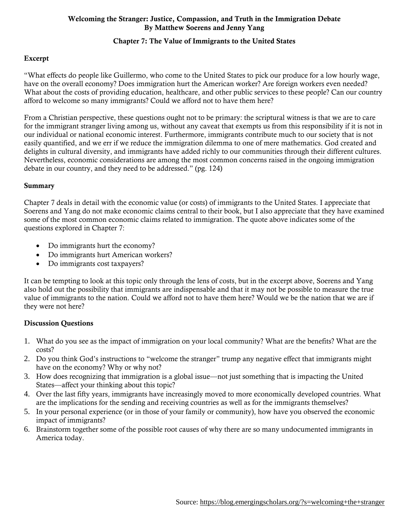## Chapter 7: The Value of Immigrants to the United States

# Excerpt

"What effects do people like Guillermo, who come to the United States to pick our produce for a low hourly wage, have on the overall economy? Does immigration hurt the American worker? Are foreign workers even needed? What about the costs of providing education, healthcare, and other public services to these people? Can our country afford to welcome so many immigrants? Could we afford not to have them here?

From a Christian perspective, these questions ought not to be primary: the scriptural witness is that we are to care for the immigrant stranger living among us, without any caveat that exempts us from this responsibility if it is not in our individual or national economic interest. Furthermore, immigrants contribute much to our society that is not easily quantified, and we err if we reduce the immigration dilemma to one of mere mathematics. God created and delights in cultural diversity, and immigrants have added richly to our communities through their different cultures. Nevertheless, economic considerations are among the most common concerns raised in the ongoing immigration debate in our country, and they need to be addressed." (pg. 124)

#### Summary

Chapter 7 deals in detail with the economic value (or costs) of immigrants to the United States. I appreciate that Soerens and Yang do not make economic claims central to their book, but I also appreciate that they have examined some of the most common economic claims related to immigration. The quote above indicates some of the questions explored in Chapter 7:

- Do immigrants hurt the economy?
- Do immigrants hurt American workers?
- Do immigrants cost taxpayers?

It can be tempting to look at this topic only through the lens of costs, but in the excerpt above, Soerens and Yang also hold out the possibility that immigrants are indispensable and that it may not be possible to measure the true value of immigrants to the nation. Could we afford not to have them here? Would we be the nation that we are if they were not here?

## Discussion Questions

- 1. What do you see as the impact of immigration on your local community? What are the benefits? What are the costs?
- 2. Do you think God's instructions to "welcome the stranger" trump any negative effect that immigrants might have on the economy? Why or why not?
- 3. How does recognizing that immigration is a global issue—not just something that is impacting the United States—affect your thinking about this topic?
- 4. Over the last fifty years, immigrants have increasingly moved to more economically developed countries. What are the implications for the sending and receiving countries as well as for the immigrants themselves?
- 5. In your personal experience (or in those of your family or community), how have you observed the economic impact of immigrants?
- 6. Brainstorm together some of the possible root causes of why there are so many undocumented immigrants in America today.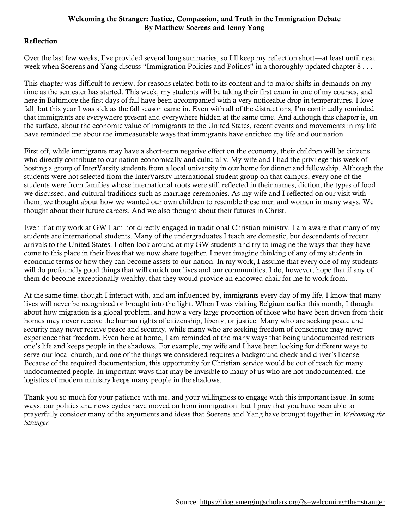#### Reflection

Over the last few weeks, I've provided several long summaries, so I'll keep my reflection short—at least until next week when Soerens and Yang discuss "Immigration Policies and Politics" in a thoroughly updated chapter 8 . . .

This chapter was difficult to review, for reasons related both to its content and to major shifts in demands on my time as the semester has started. This week, my students will be taking their first exam in one of my courses, and here in Baltimore the first days of fall have been accompanied with a very noticeable drop in temperatures. I love fall, but this year I was sick as the fall season came in. Even with all of the distractions, I'm continually reminded that immigrants are everywhere present and everywhere hidden at the same time. And although this chapter is, on the surface, about the economic value of immigrants to the United States, recent events and movements in my life have reminded me about the immeasurable ways that immigrants have enriched my life and our nation.

First off, while immigrants may have a short-term negative effect on the economy, their children will be citizens who directly contribute to our nation economically and culturally. My wife and I had the privilege this week of hosting a group of InterVarsity students from a local university in our home for dinner and fellowship. Although the students were not selected from the InterVarsity international student group on that campus, every one of the students were from families whose international roots were still reflected in their names, diction, the types of food we discussed, and cultural traditions such as marriage ceremonies. As my wife and I reflected on our visit with them, we thought about how we wanted our own children to resemble these men and women in many ways. We thought about their future careers. And we also thought about their futures in Christ.

Even if at my work at GW I am not directly engaged in traditional Christian ministry, I am aware that many of my students are international students. Many of the undergraduates I teach are domestic, but descendants of recent arrivals to the United States. I often look around at my GW students and try to imagine the ways that they have come to this place in their lives that we now share together. I never imagine thinking of any of my students in economic terms or how they can become assets to our nation. In my work, I assume that every one of my students will do profoundly good things that will enrich our lives and our communities. I do, however, hope that if any of them do become exceptionally wealthy, that they would provide an endowed chair for me to work from.

At the same time, though I interact with, and am influenced by, immigrants every day of my life, I know that many lives will never be recognized or brought into the light. When I was visiting Belgium earlier this month, I thought about how migration is a global problem, and how a very large proportion of those who have been driven from their homes may never receive the human rights of citizenship, liberty, or justice. Many who are seeking peace and security may never receive peace and security, while many who are seeking freedom of conscience may never experience that freedom. Even here at home, I am reminded of the many ways that being undocumented restricts one's life and keeps people in the shadows. For example, my wife and I have been looking for different ways to serve our local church, and one of the things we considered requires a background check and driver's license. Because of the required documentation, this opportunity for Christian service would be out of reach for many undocumented people. In important ways that may be invisible to many of us who are not undocumented, the logistics of modern ministry keeps many people in the shadows.

Thank you so much for your patience with me, and your willingness to engage with this important issue. In some ways, our politics and news cycles have moved on from immigration, but I pray that you have been able to prayerfully consider many of the arguments and ideas that Soerens and Yang have brought together in *Welcoming the Stranger*.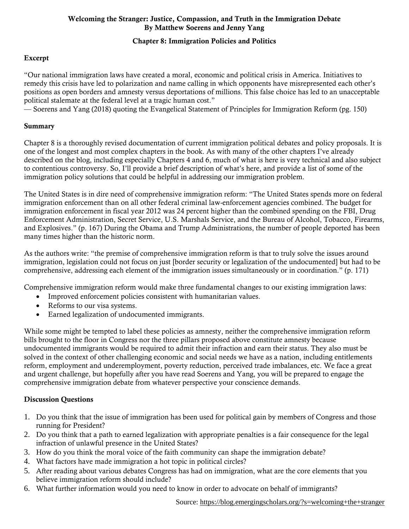# Chapter 8: Immigration Policies and Politics

# Excerpt

"Our national immigration laws have created a moral, economic and political crisis in America. Initiatives to remedy this crisis have led to polarization and name calling in which opponents have misrepresented each other's positions as open borders and amnesty versus deportations of millions. This false choice has led to an unacceptable political stalemate at the federal level at a tragic human cost."

— Soerens and Yang (2018) quoting the Evangelical Statement of Principles for Immigration Reform (pg. 150)

#### Summary

Chapter 8 is a thoroughly revised documentation of current immigration political debates and policy proposals. It is one of the longest and most complex chapters in the book. As with many of the other chapters I've already described on the blog, including especially Chapters 4 and 6, much of what is here is very technical and also subject to contentious controversy. So, I'll provide a brief description of what's here, and provide a list of some of the immigration policy solutions that could be helpful in addressing our immigration problem.

The United States is in dire need of comprehensive immigration reform: "The United States spends more on federal immigration enforcement than on all other federal criminal law-enforcement agencies combined. The budget for immigration enforcement in fiscal year 2012 was 24 percent higher than the combined spending on the FBI, Drug Enforcement Administration, Secret Service, U.S. Marshals Service, and the Bureau of Alcohol, Tobacco, Firearms, and Explosives." (p. 167) During the Obama and Trump Administrations, the number of people deported has been many times higher than the historic norm.

As the authors write: "the premise of comprehensive immigration reform is that to truly solve the issues around immigration, legislation could not focus on just [border security or legalization of the undocumented] but had to be comprehensive, addressing each element of the immigration issues simultaneously or in coordination." (p. 171)

Comprehensive immigration reform would make three fundamental changes to our existing immigration laws:

- Improved enforcement policies consistent with humanitarian values.
- Reforms to our visa systems.
- Earned legalization of undocumented immigrants.

While some might be tempted to label these policies as amnesty, neither the comprehensive immigration reform bills brought to the floor in Congress nor the three pillars proposed above constitute amnesty because undocumented immigrants would be required to admit their infraction and earn their status. They also must be solved in the context of other challenging economic and social needs we have as a nation, including entitlements reform, employment and underemployment, poverty reduction, perceived trade imbalances, etc. We face a great and urgent challenge, but hopefully after you have read Soerens and Yang, you will be prepared to engage the comprehensive immigration debate from whatever perspective your conscience demands.

## Discussion Questions

- 1. Do you think that the issue of immigration has been used for political gain by members of Congress and those running for President?
- 2. Do you think that a path to earned legalization with appropriate penalties is a fair consequence for the legal infraction of unlawful presence in the United States?
- 3. How do you think the moral voice of the faith community can shape the immigration debate?
- 4. What factors have made immigration a hot topic in political circles?
- 5. After reading about various debates Congress has had on immigration, what are the core elements that you believe immigration reform should include?
- 6. What further information would you need to know in order to advocate on behalf of immigrants?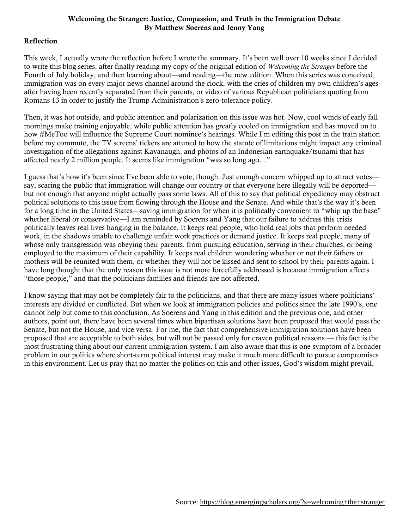## Reflection

This week, I actually wrote the reflection before I wrote the summary. It's been well over 10 weeks since I decided to write this blog series, after finally reading my copy of the original edition of *Welcoming the Stranger* before the Fourth of July holiday, and then learning about—and reading—the new edition. When this series was conceived, immigration was on every major news channel around the clock, with the cries of children my own children's ages after having been recently separated from their parents, or video of various Republican politicians quoting from Romans 13 in order to justify the Trump Administration's zero-tolerance policy.

Then, it was hot outside, and public attention and polarization on this issue was hot. Now, cool winds of early fall mornings make training enjoyable, while public attention has greatly cooled on immigration and has moved on to how #MeToo will influence the Supreme Court nominee's hearings. While I'm editing this post in the train station before my commute, the TV screens' tickers are attuned to how the statute of limitations might impact any criminal investigation of the allegations against Kavanaugh, and photos of an Indonesian earthquake/tsunami that has affected nearly 2 million people. It seems like immigration "was so long ago…"

I guess that's how it's been since I've been able to vote, though. Just enough concern whipped up to attract votes say, scaring the public that immigration will change our country or that everyone here illegally will be deported but not enough that anyone might actually pass some laws. All of this to say that political expediency may obstruct political solutions to this issue from flowing through the House and the Senate. And while that's the way it's been for a long time in the United States—saving immigration for when it is politically convenient to "whip up the base" whether liberal or conservative—I am reminded by Soerens and Yang that our failure to address this crisis politically leaves real lives hanging in the balance. It keeps real people, who hold real jobs that perform needed work, in the shadows unable to challenge unfair work practices or demand justice. It keeps real people, many of whose only transgression was obeying their parents, from pursuing education, serving in their churches, or being employed to the maximum of their capability. It keeps real children wondering whether or not their fathers or mothers will be reunited with them, or whether they will not be kissed and sent to school by their parents again. I have long thought that the only reason this issue is not more forcefully addressed is because immigration affects "those people," and that the politicians families and friends are not affected.

I know saying that may not be completely fair to the politicians, and that there are many issues where politicians' interests are divided or conflicted. But when we look at immigration policies and politics since the late 1990's, one cannot help but come to this conclusion. As Soerens and Yang in this edition and the previous one, and other authors, point out, there have been several times when bipartisan solutions have been proposed that would pass the Senate, but not the House, and vice versa. For me, the fact that comprehensive immigration solutions have been proposed that are acceptable to both sides, but will not be passed only for craven political reasons — this fact is the most frustrating thing about our current immigration system. I am also aware that this is one symptom of a broader problem in our politics where short-term political interest may make it much more difficult to pursue compromises in this environment. Let us pray that no matter the politics on this and other issues, God's wisdom might prevail.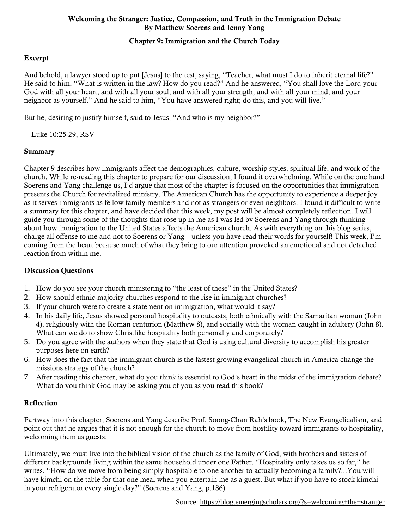# Chapter 9: Immigration and the Church Today

# Excerpt

And behold, a lawyer stood up to put [Jesus] to the test, saying, "Teacher, what must I do to inherit eternal life?" He said to him, "What is written in the law? How do you read?" And he answered, "You shall love the Lord your God with all your heart, and with all your soul, and with all your strength, and with all your mind; and your neighbor as yourself." And he said to him, "You have answered right; do this, and you will live."

But he, desiring to justify himself, said to Jesus, "And who is my neighbor?"

—Luke 10:25-29, RSV

#### Summary

Chapter 9 describes how immigrants affect the demographics, culture, worship styles, spiritual life, and work of the church. While re-reading this chapter to prepare for our discussion, I found it overwhelming. While on the one hand Soerens and Yang challenge us, I'd argue that most of the chapter is focused on the opportunities that immigration presents the Church for revitalized ministry. The American Church has the opportunity to experience a deeper joy as it serves immigrants as fellow family members and not as strangers or even neighbors. I found it difficult to write a summary for this chapter, and have decided that this week, my post will be almost completely reflection. I will guide you through some of the thoughts that rose up in me as I was led by Soerens and Yang through thinking about how immigration to the United States affects the American church. As with everything on this blog series, charge all offense to me and not to Soerens or Yang—unless you have read their words for yourself! This week, I'm coming from the heart because much of what they bring to our attention provoked an emotional and not detached reaction from within me.

## Discussion Questions

- 1. How do you see your church ministering to "the least of these" in the United States?
- 2. How should ethnic-majority churches respond to the rise in immigrant churches?
- 3. If your church were to create a statement on immigration, what would it say?
- 4. In his daily life, Jesus showed personal hospitality to outcasts, both ethnically with the Samaritan woman (John 4), religiously with the Roman centurion (Matthew 8), and socially with the woman caught in adultery (John 8). What can we do to show Christlike hospitality both personally and corporately?
- 5. Do you agree with the authors when they state that God is using cultural diversity to accomplish his greater purposes here on earth?
- 6. How does the fact that the immigrant church is the fastest growing evangelical church in America change the missions strategy of the church?
- 7. After reading this chapter, what do you think is essential to God's heart in the midst of the immigration debate? What do you think God may be asking you of you as you read this book?

## Reflection

Partway into this chapter, Soerens and Yang describe Prof. Soong-Chan Rah's book, The New Evangelicalism, and point out that he argues that it is not enough for the church to move from hostility toward immigrants to hospitality, welcoming them as guests:

Ultimately, we must live into the biblical vision of the church as the family of God, with brothers and sisters of different backgrounds living within the same household under one Father. "Hospitality only takes us so far," he writes. "How do we move from being simply hospitable to one another to actually becoming a family?...You will have kimchi on the table for that one meal when you entertain me as a guest. But what if you have to stock kimchi in your refrigerator every single day?" (Soerens and Yang, p.186)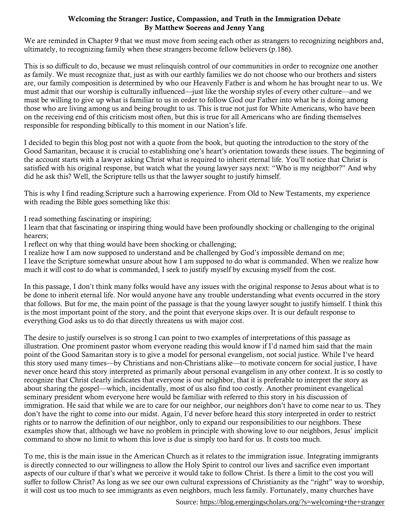We are reminded in Chapter 9 that we must move from seeing each other as strangers to recognizing neighbors and, ultimately, to recognizing family when these strangers become fellow believers (p.186).

This is so difficult to do, because we must relinquish control of our communities in order to recognize one another as family. We must recognize that, just as with our earthly families we do not choose who our brothers and sisters are, our family composition is determined by who our Heavenly Father is and whom he has brought near to us. We must admit that our worship is culturally influenced—just like the worship styles of every other culture—and we must be willing to give up what is familiar to us in order to follow God our Father into what he is doing among those who are living among us and being brought to us. This is true not just for White Americans, who have been on the receiving end of this criticism most often, but this is true for all Americans who are finding themselves responsible for responding biblically to this moment in our Nation's life.

I decided to begin this blog post not with a quote from the book, but quoting the introduction to the story of the Good Samaritan, because it is crucial to establishing one's heart's orientation towards these issues. The beginning of the account starts with a lawyer asking Christ what is required to inherit eternal life. You'll notice that Christ is satisfied with his original response, but watch what the young lawyer says next: "Who is my neighbor?" And why did he ask this? Well, the Scripture tells us that the lawyer sought to justify himself.

This is why I find reading Scripture such a harrowing experience. From Old to New Testaments, my experience with reading the Bible goes something like this:

I read something fascinating or inspiring;

I learn that that fascinating or inspiring thing would have been profoundly shocking or challenging to the original hearers;

I reflect on why that thing would have been shocking or challenging;

I realize how I am now supposed to understand and be challenged by God's impossible demand on me; I leave the Scripture somewhat unsure about how I am supposed to do what is commanded. When we realize how much it will cost to do what is commanded, I seek to justify myself by excusing myself from the cost.

In this passage, I don't think many folks would have any issues with the original response to Jesus about what is to be done to inherit eternal life. Nor would anyone have any trouble understanding what events occurred in the story that follows. But for me, the main point of the passage is that the young lawyer sought to justify himself. I think this is the most important point of the story, and the point that everyone skips over. It is our default response to everything God asks us to do that directly threatens us with major cost.

The desire to justify ourselves is so strong I can point to two examples of interpretations of this passage as illustration. One prominent pastor whom everyone reading this would know if I'd named him said that the main point of the Good Samaritan story is to give a model for personal evangelism, not social justice. While I've heard this story used many times—by Christians and non-Christians alike—to motivate concern for social justice, I have never once heard this story interpreted as primarily about personal evangelism in any other context. It is so costly to recognize that Christ clearly indicates that everyone is our neighbor, that it is preferable to interpret the story as about sharing the gospel—which, incidentally, most of us also find too costly. Another prominent evangelical seminary president whom everyone here would be familiar with referred to this story in his discussion of immigration. He said that while we are to care for our neighbor, our neighbors don't have to come near to us. They don't have the right to come into our midst. Again, I'd never before heard this story interpreted in order to restrict rights or to narrow the definition of our neighbor, only to expand our responsibilities to our neighbors. These examples show that, although we have no problem in principle with showing love to our neighbors, Jesus' implicit command to show no limit to whom this love is due is simply too hard for us. It costs too much.

To me, this is the main issue in the American Church as it relates to the immigration issue. Integrating immigrants is directly connected to our willingness to allow the Holy Spirit to control our lives and sacrifice even important aspects of our culture if that's what we perceive it would take to follow Christ. Is there a limit to the cost you will suffer to follow Christ? As long as we see our own cultural expressions of Christianity as the "right" way to worship, it will cost us too much to see immigrants as even neighbors, much less family. Fortunately, many churches have

Source:<https://blog.emergingscholars.org/?s=welcoming+the+stranger>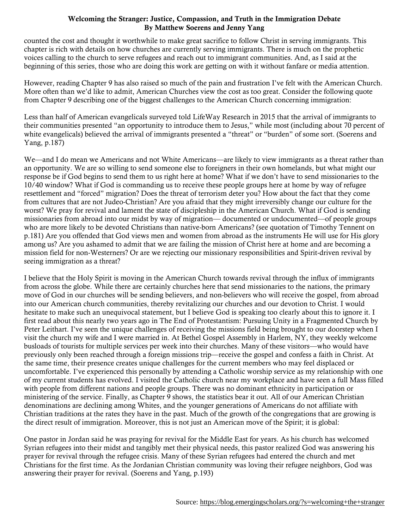counted the cost and thought it worthwhile to make great sacrifice to follow Christ in serving immigrants. This chapter is rich with details on how churches are currently serving immigrants. There is much on the prophetic voices calling to the church to serve refugees and reach out to immigrant communities. And, as I said at the beginning of this series, those who are doing this work are getting on with it without fanfare or media attention.

However, reading Chapter 9 has also raised so much of the pain and frustration I've felt with the American Church. More often than we'd like to admit, American Churches view the cost as too great. Consider the following quote from Chapter 9 describing one of the biggest challenges to the American Church concerning immigration:

Less than half of American evangelicals surveyed told LifeWay Research in 2015 that the arrival of immigrants to their communities presented "an opportunity to introduce them to Jesus," while most (including about 70 percent of white evangelicals) believed the arrival of immigrants presented a "threat" or "burden" of some sort. (Soerens and Yang, p.187)

We—and I do mean we Americans and not White Americans—are likely to view immigrants as a threat rather than an opportunity. We are so willing to send someone else to foreigners in their own homelands, but what might our response be if God begins to send them to us right here at home? What if we don't have to send missionaries to the 10/40 window? What if God is commanding us to receive these people groups here at home by way of refugee resettlement and "forced" migration? Does the threat of terrorism deter you? How about the fact that they come from cultures that are not Judeo-Christian? Are you afraid that they might irreversibly change our culture for the worst? We pray for revival and lament the state of discipleship in the American Church. What if God is sending missionaries from abroad into our midst by way of migration— documented or undocumented—of people groups who are more likely to be devoted Christians than native-born Americans? (see quotation of Timothy Tennent on p.181) Are you offended that God views men and women from abroad as the instruments He will use for His glory among us? Are you ashamed to admit that we are failing the mission of Christ here at home and are becoming a mission field for non-Westerners? Or are we rejecting our missionary responsibilities and Spirit-driven revival by seeing immigration as a threat?

I believe that the Holy Spirit is moving in the American Church towards revival through the influx of immigrants from across the globe. While there are certainly churches here that send missionaries to the nations, the primary move of God in our churches will be sending believers, and non-believers who will receive the gospel, from abroad into our American church communities, thereby revitalizing our churches and our devotion to Christ. I would hesitate to make such an unequivocal statement, but I believe God is speaking too clearly about this to ignore it. I first read about this nearly two years ago in The End of Protestantism: Pursuing Unity in a Fragmented Church by Peter Leithart. I've seen the unique challenges of receiving the missions field being brought to our doorstep when I visit the church my wife and I were married in. At Bethel Gospel Assembly in Harlem, NY, they weekly welcome busloads of tourists for multiple services per week into their churches. Many of these visitors—who would have previously only been reached through a foreign missions trip—receive the gospel and confess a faith in Christ. At the same time, their presence creates unique challenges for the current members who may feel displaced or uncomfortable. I've experienced this personally by attending a Catholic worship service as my relationship with one of my current students has evolved. I visited the Catholic church near my workplace and have seen a full Mass filled with people from different nations and people groups. There was no dominant ethnicity in participation or ministering of the service. Finally, as Chapter 9 shows, the statistics bear it out. All of our American Christian denominations are declining among Whites, and the younger generations of Americans do not affiliate with Christian traditions at the rates they have in the past. Much of the growth of the congregations that are growing is the direct result of immigration. Moreover, this is not just an American move of the Spirit; it is global:

One pastor in Jordan said he was praying for revival for the Middle East for years. As his church has welcomed Syrian refugees into their midst and tangibly met their physical needs, this pastor realized God was answering his prayer for revival through the refugee crisis. Many of these Syrian refugees had entered the church and met Christians for the first time. As the Jordanian Christian community was loving their refugee neighbors, God was answering their prayer for revival. (Soerens and Yang, p.193)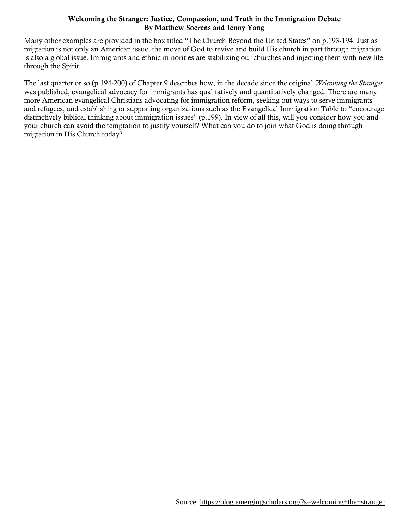Many other examples are provided in the box titled "The Church Beyond the United States" on p.193-194. Just as migration is not only an American issue, the move of God to revive and build His church in part through migration is also a global issue. Immigrants and ethnic minorities are stabilizing our churches and injecting them with new life through the Spirit.

The last quarter or so (p.194-200) of Chapter 9 describes how, in the decade since the original *Welcoming the Stranger* was published, evangelical advocacy for immigrants has qualitatively and quantitatively changed. There are many more American evangelical Christians advocating for immigration reform, seeking out ways to serve immigrants and refugees, and establishing or supporting organizations such as the Evangelical Immigration Table to "encourage distinctively biblical thinking about immigration issues" (p.199). In view of all this, will you consider how you and your church can avoid the temptation to justify yourself? What can you do to join what God is doing through migration in His Church today?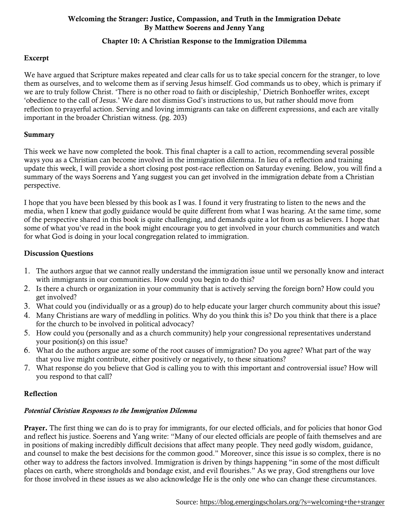## Chapter 10: A Christian Response to the Immigration Dilemma

# Excerpt

We have argued that Scripture makes repeated and clear calls for us to take special concern for the stranger, to love them as ourselves, and to welcome them as if serving Jesus himself. God commands us to obey, which is primary if we are to truly follow Christ. 'There is no other road to faith or discipleship,' Dietrich Bonhoeffer writes, except 'obedience to the call of Jesus.' We dare not dismiss God's instructions to us, but rather should move from reflection to prayerful action. Serving and loving immigrants can take on different expressions, and each are vitally important in the broader Christian witness. (pg. 203)

## Summary

This week we have now completed the book. This final chapter is a call to action, recommending several possible ways you as a Christian can become involved in the immigration dilemma. In lieu of a reflection and training update this week, I will provide a short closing post post-race reflection on Saturday evening. Below, you will find a summary of the ways Soerens and Yang suggest you can get involved in the immigration debate from a Christian perspective.

I hope that you have been blessed by this book as I was. I found it very frustrating to listen to the news and the media, when I knew that godly guidance would be quite different from what I was hearing. At the same time, some of the perspective shared in this book is quite challenging, and demands quite a lot from us as believers. I hope that some of what you've read in the book might encourage you to get involved in your church communities and watch for what God is doing in your local congregation related to immigration.

## Discussion Questions

- 1. The authors argue that we cannot really understand the immigration issue until we personally know and interact with immigrants in our communities. How could you begin to do this?
- 2. Is there a church or organization in your community that is actively serving the foreign born? How could you get involved?
- 3. What could you (individually or as a group) do to help educate your larger church community about this issue?
- 4. Many Christians are wary of meddling in politics. Why do you think this is? Do you think that there is a place for the church to be involved in political advocacy?
- 5. How could you (personally and as a church community) help your congressional representatives understand your position(s) on this issue?
- 6. What do the authors argue are some of the root causes of immigration? Do you agree? What part of the way that you live might contribute, either positively or negatively, to these situations?
- 7. What response do you believe that God is calling you to with this important and controversial issue? How will you respond to that call?

## Reflection

## *Potential Christian Responses to the Immigration Dilemma*

Prayer. The first thing we can do is to pray for immigrants, for our elected officials, and for policies that honor God and reflect his justice. Soerens and Yang write: "Many of our elected officials are people of faith themselves and are in positions of making incredibly difficult decisions that affect many people. They need godly wisdom, guidance, and counsel to make the best decisions for the common good." Moreover, since this issue is so complex, there is no other way to address the factors involved. Immigration is driven by things happening "in some of the most difficult places on earth, where strongholds and bondage exist, and evil flourishes." As we pray, God strengthens our love for those involved in these issues as we also acknowledge He is the only one who can change these circumstances.